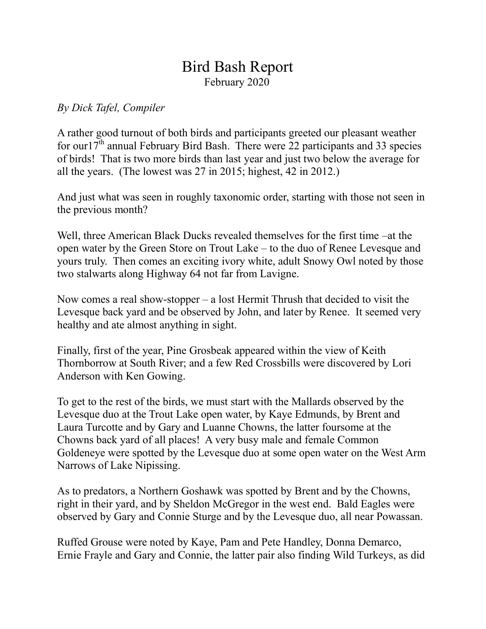## Bird Bash Report February 2020

## *By Dick Tafel, Compiler*

A rather good turnout of both birds and participants greeted our pleasant weather for our  $17<sup>th</sup>$  annual February Bird Bash. There were 22 participants and 33 species of birds! That is two more birds than last year and just two below the average for all the years. (The lowest was 27 in 2015; highest, 42 in 2012.)

And just what was seen in roughly taxonomic order, starting with those not seen in the previous month?

Well, three American Black Ducks revealed themselves for the first time –at the open water by the Green Store on Trout Lake – to the duo of Renee Levesque and yours truly. Then comes an exciting ivory white, adult Snowy Owl noted by those two stalwarts along Highway 64 not far from Lavigne.

Now comes a real show-stopper – a lost Hermit Thrush that decided to visit the Levesque back yard and be observed by John, and later by Renee. It seemed very healthy and ate almost anything in sight.

Finally, first of the year, Pine Grosbeak appeared within the view of Keith Thornborrow at South River; and a few Red Crossbills were discovered by Lori Anderson with Ken Gowing.

To get to the rest of the birds, we must start with the Mallards observed by the Levesque duo at the Trout Lake open water, by Kaye Edmunds, by Brent and Laura Turcotte and by Gary and Luanne Chowns, the latter foursome at the Chowns back yard of all places! A very busy male and female Common Goldeneye were spotted by the Levesque duo at some open water on the West Arm Narrows of Lake Nipissing.

As to predators, a Northern Goshawk was spotted by Brent and by the Chowns, right in their yard, and by Sheldon McGregor in the west end. Bald Eagles were observed by Gary and Connie Sturge and by the Levesque duo, all near Powassan.

Ruffed Grouse were noted by Kaye, Pam and Pete Handley, Donna Demarco, Ernie Frayle and Gary and Connie, the latter pair also finding Wild Turkeys, as did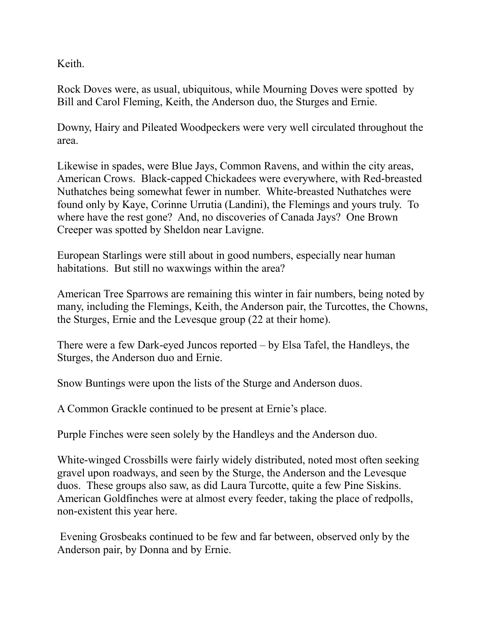Keith.

Rock Doves were, as usual, ubiquitous, while Mourning Doves were spotted by Bill and Carol Fleming, Keith, the Anderson duo, the Sturges and Ernie.

Downy, Hairy and Pileated Woodpeckers were very well circulated throughout the area.

Likewise in spades, were Blue Jays, Common Ravens, and within the city areas, American Crows. Black-capped Chickadees were everywhere, with Red-breasted Nuthatches being somewhat fewer in number. White-breasted Nuthatches were found only by Kaye, Corinne Urrutia (Landini), the Flemings and yours truly. To where have the rest gone? And, no discoveries of Canada Jays? One Brown Creeper was spotted by Sheldon near Lavigne.

European Starlings were still about in good numbers, especially near human habitations. But still no waxwings within the area?

American Tree Sparrows are remaining this winter in fair numbers, being noted by many, including the Flemings, Keith, the Anderson pair, the Turcottes, the Chowns, the Sturges, Ernie and the Levesque group (22 at their home).

There were a few Dark-eyed Juncos reported – by Elsa Tafel, the Handleys, the Sturges, the Anderson duo and Ernie.

Snow Buntings were upon the lists of the Sturge and Anderson duos.

A Common Grackle continued to be present at Ernie's place.

Purple Finches were seen solely by the Handleys and the Anderson duo.

White-winged Crossbills were fairly widely distributed, noted most often seeking gravel upon roadways, and seen by the Sturge, the Anderson and the Levesque duos. These groups also saw, as did Laura Turcotte, quite a few Pine Siskins. American Goldfinches were at almost every feeder, taking the place of redpolls, non-existent this year here.

Evening Grosbeaks continued to be few and far between, observed only by the Anderson pair, by Donna and by Ernie.